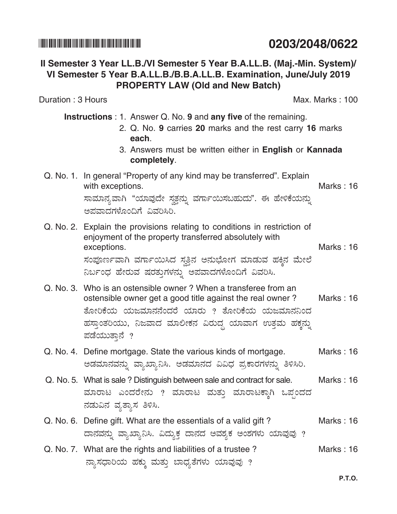# 

# Il Semester 3 Year LL.B./VI Semester 5 Year B.A.LL.B. (Maj.-Min. System)/ VI Semester 5 Year B.A.LL.B./B.B.A.LL.B. Examination, June/July 2019 **PROPERTY LAW (Old and New Batch)**

Duration: 3 Hours

**Instructions**: 1. Answer Q. No. 9 and any five of the remaining.

- 2. Q. No. 9 carries 20 marks and the rest carry 16 marks each.
- 3. Answers must be written either in English or Kannada completely.

### Q. No. 1. In general "Property of any kind may be transferred". Explain with exceptions. Marks: 16 ಸಾಮಾನ್ಯವಾಗಿ "ಯಾವುದೇ ಸ್ವತ್ತನ್ನು ವರ್ಗಾಯಿಸಬಹುದು". ಈ ಹೇಳಿಕೆಯನ್ನು

ಅಪವಾದಗಳೊಂದಿಗೆ ವಿವರಿಸಿರಿ.

- Q. No. 2. Explain the provisions relating to conditions in restriction of enjoyment of the property transferred absolutely with Marks: 16 exceptions. ಸಂಪೂರ್ಣವಾಗಿ ವರ್ಗಾಯಿಸಿದ ಸ್ವತ್ತಿನ ಅನುಭೋಗ ಮಾಡುವ ಹಕ್ಕಿನ ಮೇಲೆ ನಿರ್ಬಂಧ ಹೇರುವ ಷರತ್ತುಗಳನ್ನು ಅಪವಾದಗಳೊಂದಿಗೆ ವಿವರಿಸಿ.
- Q. No. 3. Who is an ostensible owner? When a transferee from an ostensible owner get a good title against the real owner? Marks : 16 ತೋರಿಕೆಯ ಯಜಮಾನನೆಂದರೆ ಯಾರು ? ತೋರಿಕೆಯ ಯಜಮಾನನಿಂದ ಹಸ್ತಾಂತರಿಯು, ನಿಜವಾದ ಮಾಲೀಕನ ವಿರುದ್ಧ ಯಾವಾಗ ಉತ್ತಮ ಹಕ್ಕನ್ನು ಪಡೆಯುತಾನೆ ?
- Q. No. 4. Define mortgage. State the various kinds of mortgage. Marks: 16 ಅಡಮಾನವನ್ನು ವ್ಯಾಖ್ಯಾನಿಸಿ. ಅಡಮಾನದ ವಿವಿಧ ಪ್ರಕಾರಗಳನ್ನು ತಿಳಿಸಿರಿ.
- Q. No. 5. What is sale? Distinguish between sale and contract for sale. Marks: 16 ಮಾರಾಟ ಎಂದರೇನು ? ಮಾರಾಟ ಮತ್ತು ಮಾರಾಟಕ್ಕಾಗಿ ಒಪ್ಪಂದದ ನಡುವಿನ ವ್ಯತ್ಯಾಸ ತಿಳಿಸಿ.
- Q. No. 6. Define gift. What are the essentials of a valid gift? Marks: 16 ದಾನವನ್ನು ವ್ಯಾಖ್ಯಾನಿಸಿ. ವಿದ್ಯುಕ್ತ ದಾನದ ಅವಶ್ಯಕ ಅಂಶಗಳು ಯಾವುವು ?
- Q. No. 7. What are the rights and liabilities of a trustee? Marks: 16 ನ್ಯಾಸಧಾರಿಯ ಹಕ್ಕು ಮತ್ತು ಬಾಧ್ಯತೆಗಳು ಯಾವುವು ?

P.T.O.

# 0203/2048/0622

**Max. Marks: 100**